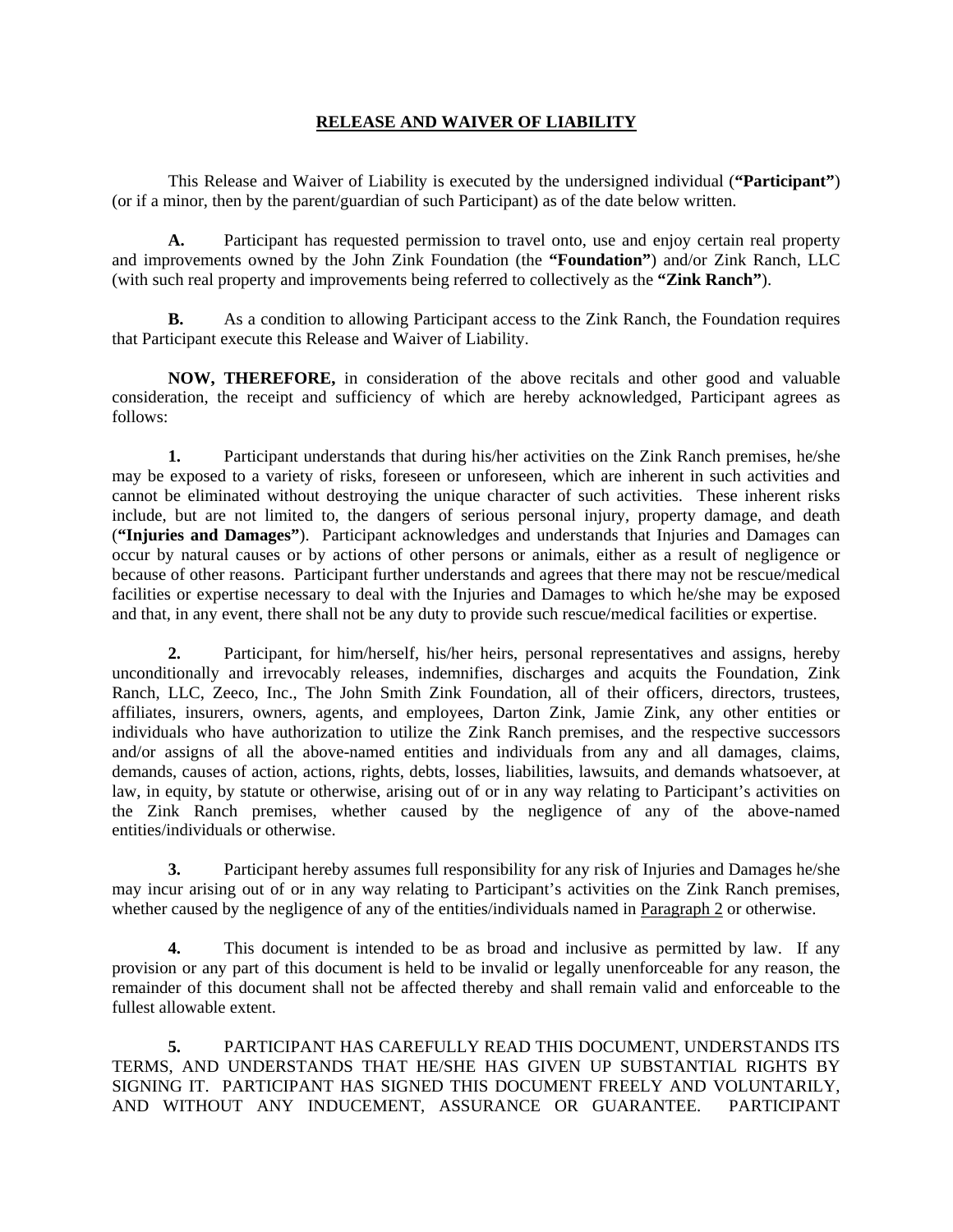## **RELEASE AND WAIVER OF LIABILITY**

 This Release and Waiver of Liability is executed by the undersigned individual (**"Participant"**) (or if a minor, then by the parent/guardian of such Participant) as of the date below written.

**A.** Participant has requested permission to travel onto, use and enjoy certain real property and improvements owned by the John Zink Foundation (the **"Foundation"**) and/or Zink Ranch, LLC (with such real property and improvements being referred to collectively as the **"Zink Ranch"**).

**B.** As a condition to allowing Participant access to the Zink Ranch, the Foundation requires that Participant execute this Release and Waiver of Liability.

**NOW, THEREFORE,** in consideration of the above recitals and other good and valuable consideration, the receipt and sufficiency of which are hereby acknowledged, Participant agrees as follows:

**1.** Participant understands that during his/her activities on the Zink Ranch premises, he/she may be exposed to a variety of risks, foreseen or unforeseen, which are inherent in such activities and cannot be eliminated without destroying the unique character of such activities. These inherent risks include, but are not limited to, the dangers of serious personal injury, property damage, and death (**"Injuries and Damages"**). Participant acknowledges and understands that Injuries and Damages can occur by natural causes or by actions of other persons or animals, either as a result of negligence or because of other reasons. Participant further understands and agrees that there may not be rescue/medical facilities or expertise necessary to deal with the Injuries and Damages to which he/she may be exposed and that, in any event, there shall not be any duty to provide such rescue/medical facilities or expertise.

**2.** Participant, for him/herself, his/her heirs, personal representatives and assigns, hereby unconditionally and irrevocably releases, indemnifies, discharges and acquits the Foundation, Zink Ranch, LLC, Zeeco, Inc., The John Smith Zink Foundation, all of their officers, directors, trustees, affiliates, insurers, owners, agents, and employees, Darton Zink, Jamie Zink, any other entities or individuals who have authorization to utilize the Zink Ranch premises, and the respective successors and/or assigns of all the above-named entities and individuals from any and all damages, claims, demands, causes of action, actions, rights, debts, losses, liabilities, lawsuits, and demands whatsoever, at law, in equity, by statute or otherwise, arising out of or in any way relating to Participant's activities on the Zink Ranch premises, whether caused by the negligence of any of the above-named entities/individuals or otherwise.

**3.** Participant hereby assumes full responsibility for any risk of Injuries and Damages he/she may incur arising out of or in any way relating to Participant's activities on the Zink Ranch premises, whether caused by the negligence of any of the entities/individuals named in Paragraph 2 or otherwise.

**4.** This document is intended to be as broad and inclusive as permitted by law. If any provision or any part of this document is held to be invalid or legally unenforceable for any reason, the remainder of this document shall not be affected thereby and shall remain valid and enforceable to the fullest allowable extent.

 **5.** PARTICIPANT HAS CAREFULLY READ THIS DOCUMENT, UNDERSTANDS ITS TERMS, AND UNDERSTANDS THAT HE/SHE HAS GIVEN UP SUBSTANTIAL RIGHTS BY SIGNING IT. PARTICIPANT HAS SIGNED THIS DOCUMENT FREELY AND VOLUNTARILY, AND WITHOUT ANY INDUCEMENT, ASSURANCE OR GUARANTEE. PARTICIPANT